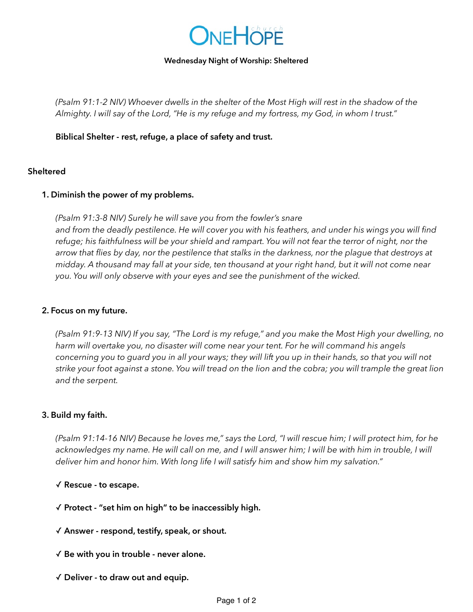

#### **Wednesday Night of Worship: Sheltered**

*(Psalm 91:1-2 NIV) Whoever dwells in the shelter of the Most High will rest in the shadow of the Almighty. I will say of the Lord, "He is my refuge and my fortress, my God, in whom I trust."* 

**Biblical Shelter - rest, refuge, a place of safety and trust.** 

## **Sheltered**

## **1. Diminish the power of my problems.**

*(Psalm 91:3-8 NIV) Surely he will save you from the fowler's snare and from the deadly pestilence. He will cover you with his feathers, and under his wings you will find refuge; his faithfulness will be your shield and rampart. You will not fear the terror of night, nor the arrow that flies by day, nor the pestilence that stalks in the darkness, nor the plague that destroys at midday. A thousand may fall at your side, ten thousand at your right hand, but it will not come near you. You will only observe with your eyes and see the punishment of the wicked.*

### **2. Focus on my future.**

*(Psalm 91:9-13 NIV) If you say, "The Lord is my refuge," and you make the Most High your dwelling, no harm will overtake you, no disaster will come near your tent. For he will command his angels concerning you to guard you in all your ways; they will lift you up in their hands, so that you will not strike your foot against a stone. You will tread on the lion and the cobra; you will trample the great lion and the serpent.*

### **3. Build my faith.**

*(Psalm 91:14-16 NIV) Because he loves me," says the Lord, "I will rescue him; I will protect him, for he*  acknowledges my name. He will call on me, and I will answer him; I will be with him in trouble, I will *deliver him and honor him. With long life I will satisfy him and show him my salvation."* 

- ✓ **Rescue to escape.**
- ✓ **Protect "set him on high" to be inaccessibly high.**
- ✓ **Answer respond, testify, speak, or shout.**
- ✓ **Be with you in trouble never alone.**
- ✓ **Deliver to draw out and equip.**